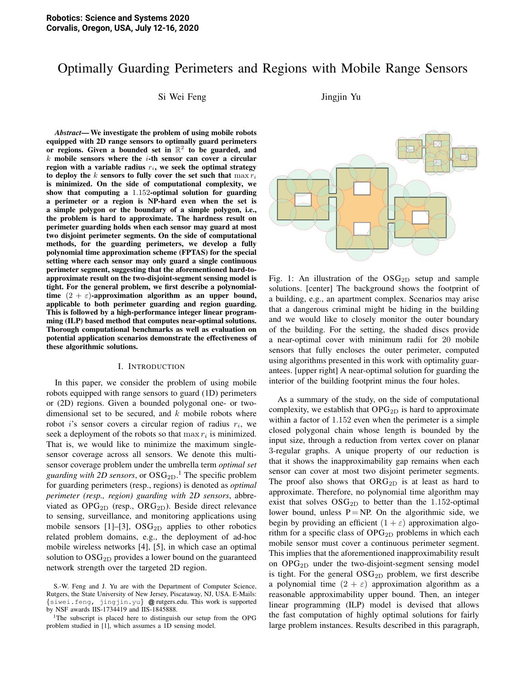# Optimally Guarding Perimeters and Regions with Mobile Range Sensors

Si Wei Feng Jingjin Yu

*Abstract*— We investigate the problem of using mobile robots equipped with 2D range sensors to optimally guard perimeters or regions. Given a bounded set in  $\mathbb{R}^2$  to be guarded, and  $k$  mobile sensors where the  $i$ -th sensor can cover a circular region with a variable radius  $r_i$ , we seek the optimal strategy to deploy the k sensors to fully cover the set such that  $\max r_i$ is minimized. On the side of computational complexity, we show that computing a 1.152-optimal solution for guarding a perimeter or a region is NP-hard even when the set is a simple polygon or the boundary of a simple polygon, i.e., the problem is hard to approximate. The hardness result on perimeter guarding holds when each sensor may guard at most two disjoint perimeter segments. On the side of computational methods, for the guarding perimeters, we develop a fully polynomial time approximation scheme (FPTAS) for the special setting where each sensor may only guard a single continuous perimeter segment, suggesting that the aforementioned hard-toapproximate result on the two-disjoint-segment sensing model is tight. For the general problem, we first describe a polynomialtime  $(2 + \varepsilon)$ -approximation algorithm as an upper bound, applicable to both perimeter guarding and region guarding. This is followed by a high-performance integer linear programming (ILP) based method that computes near-optimal solutions. Thorough computational benchmarks as well as evaluation on potential application scenarios demonstrate the effectiveness of these algorithmic solutions.

### I. INTRODUCTION

In this paper, we consider the problem of using mobile robots equipped with range sensors to guard (1D) perimeters or (2D) regions. Given a bounded polygonal one- or twodimensional set to be secured, and  $k$  mobile robots where robot *i*'s sensor covers a circular region of radius  $r_i$ , we seek a deployment of the robots so that  $\max r_i$  is minimized. That is, we would like to minimize the maximum singlesensor coverage across all sensors. We denote this multisensor coverage problem under the umbrella term *optimal set guarding with 2D sensors*, or  $\text{OSG}_{\text{2D}}$ .<sup>1</sup> The specific problem for guarding perimeters (resp., regions) is denoted as *optimal perimeter (resp., region) guarding with 2D sensors*, abbreviated as  $OPG_{2D}$  (resp.,  $ORG_{2D}$ ). Beside direct relevance to sensing, surveillance, and monitoring applications using mobile sensors [1]–[3],  $\text{OSG}_{2D}$  applies to other robotics related problem domains, e.g., the deployment of ad-hoc mobile wireless networks [4], [5], in which case an optimal solution to  $\text{OSG}_{2D}$  provides a lower bound on the guaranteed network strength over the targeted 2D region.



Fig. 1: An illustration of the  $OSG_{2D}$  setup and sample solutions. [center] The background shows the footprint of a building, e.g., an apartment complex. Scenarios may arise that a dangerous criminal might be hiding in the building and we would like to closely monitor the outer boundary of the building. For the setting, the shaded discs provide a near-optimal cover with minimum radii for 20 mobile sensors that fully encloses the outer perimeter, computed using algorithms presented in this work with optimality guarantees. [upper right] A near-optimal solution for guarding the interior of the building footprint minus the four holes.

As a summary of the study, on the side of computational complexity, we establish that  $OPG_{2D}$  is hard to approximate within a factor of 1.152 even when the perimeter is a simple closed polygonal chain whose length is bounded by the input size, through a reduction from vertex cover on planar 3-regular graphs. A unique property of our reduction is that it shows the inapproximability gap remains when each sensor can cover at most two disjoint perimeter segments. The proof also shows that  $ORG_{2D}$  is at least as hard to approximate. Therefore, no polynomial time algorithm may exist that solves  $OSG_{2D}$  to better than the 1.152-optimal lower bound, unless  $P = NP$ . On the algorithmic side, we begin by providing an efficient  $(1 + \varepsilon)$  approximation algorithm for a specific class of  $OPG_{2D}$  problems in which each mobile sensor must cover a continuous perimeter segment. This implies that the aforementioned inapproximability result on  $OPG_{2D}$  under the two-disjoint-segment sensing model is tight. For the general  $OSG_{2D}$  problem, we first describe a polynomial time  $(2 + \varepsilon)$  approximation algorithm as a reasonable approximability upper bound. Then, an integer linear programming (ILP) model is devised that allows the fast computation of highly optimal solutions for fairly large problem instances. Results described in this paragraph,

S.-W. Feng and J. Yu are with the Department of Computer Science, Rutgers, the State University of New Jersey, Piscataway, NJ, USA. E-Mails:  ${sivei.feng, jingjin.yu}$  @ rutgers.edu. This work is supported by NSF awards IIS-1734419 and IIS-1845888.

<sup>&</sup>lt;sup>1</sup>The subscript is placed here to distinguish our setup from the OPG problem studied in [1], which assumes a 1D sensing model.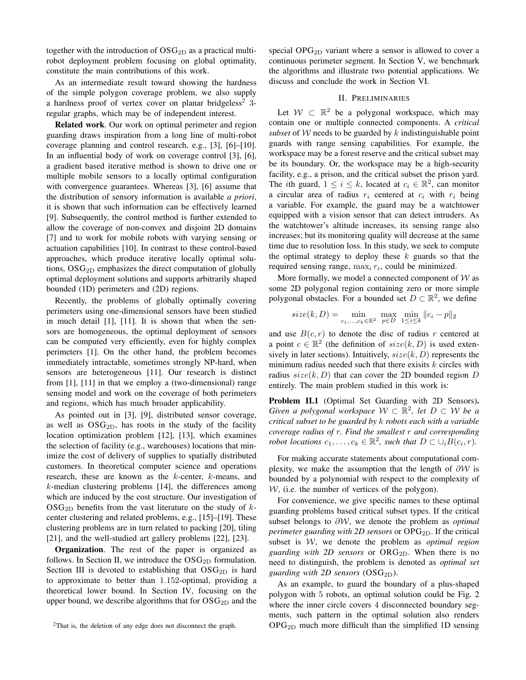together with the introduction of  $OSG_{2D}$  as a practical multirobot deployment problem focusing on global optimality, constitute the main contributions of this work.

As an intermediate result toward showing the hardness of the simple polygon coverage problem, we also supply a hardness proof of vertex cover on planar bridgeless<sup>2</sup> 3regular graphs, which may be of independent interest.

Related work. Our work on optimal perimeter and region guarding draws inspiration from a long line of multi-robot coverage planning and control research, e.g., [3], [6]–[10]. In an influential body of work on coverage control [3], [6], a gradient based iterative method is shown to drive one or multiple mobile sensors to a locally optimal configuration with convergence guarantees. Whereas [3], [6] assume that the distribution of sensory information is available *a priori*, it is shown that such information can be effectively learned [9]. Subsequently, the control method is further extended to allow the coverage of non-convex and disjoint 2D domains [7] and to work for mobile robots with varying sensing or actuation capabilities [10]. In contrast to these control-based approaches, which produce iterative locally optimal solutions,  $OSG<sub>2D</sub>$  emphasizes the direct computation of globally optimal deployment solutions and supports arbitrarily shaped bounded (1D) perimeters and (2D) regions.

Recently, the problems of globally optimally covering perimeters using one-dimensional sensors have been studied in much detail [1], [11]. It is shown that when the sensors are homogeneous, the optimal deployment of sensors can be computed very efficiently, even for highly complex perimeters [1]. On the other hand, the problem becomes immediately intractable, sometimes strongly NP-hard, when sensors are heterogeneous [11]. Our research is distinct from [1], [11] in that we employ a (two-dimensional) range sensing model and work on the coverage of both perimeters and regions, which has much broader applicability.

As pointed out in [3], [9], distributed sensor coverage, as well as  $OSG<sub>2D</sub>$ , has roots in the study of the facility location optimization problem [12], [13], which examines the selection of facility (e.g., warehouses) locations that minimize the cost of delivery of supplies to spatially distributed customers. In theoretical computer science and operations research, these are known as the k-center, k-means, and  $k$ -median clustering problems [14], the differences among which are induced by the cost structure. Our investigation of  $\text{OSG}_{2D}$  benefits from the vast literature on the study of kcenter clustering and related problems, e.g., [15]–[19]. These clustering problems are in turn related to packing [20], tiling [21], and the well-studied art gallery problems [22], [23].

Organization. The rest of the paper is organized as follows. In Section II, we introduce the  $OSG_{2D}$  formulation. Section III is devoted to establishing that  $OSG_{2D}$  is hard to approximate to better than 1.152-optimal, providing a theoretical lower bound. In Section IV, focusing on the upper bound, we describe algorithms that for  $OSG_{2D}$  and the special  $OPG_{2D}$  variant where a sensor is allowed to cover a continuous perimeter segment. In Section V, we benchmark the algorithms and illustrate two potential applications. We discuss and conclude the work in Section VI.

# II. PRELIMINARIES

Let  $W \subset \mathbb{R}^2$  be a polygonal workspace, which may contain one or multiple connected components. A *critical subset* of W needs to be guarded by k indistinguishable point guards with range sensing capabilities. For example, the workspace may be a forest reserve and the critical subset may be its boundary. Or, the workspace may be a high-security facility, e.g., a prison, and the critical subset the prison yard. The *i*th guard,  $1 \le i \le k$ , located at  $c_i \in \mathbb{R}^2$ , can monitor a circular area of radius  $r_i$  centered at  $c_i$  with  $r_i$  being a variable. For example, the guard may be a watchtower equipped with a vision sensor that can detect intruders. As the watchtower's altitude increases, its sensing range also increases; but its monitoring quality will decrease at the same time due to resolution loss. In this study, we seek to compute the optimal strategy to deploy these  $k$  guards so that the required sensing range,  $\max_i r_i$ , could be minimized.

More formally, we model a connected component of  $W$  as some 2D polygonal region containing zero or more simple polygonal obstacles. For a bounded set  $D \subset \mathbb{R}^2$ , we define

$$
size(k, D) = \min_{c_1, ..., c_k \in \mathbb{R}^2} \max_{p \in D} \min_{1 \le i \le k} ||c_i - p||_2
$$

and use  $B(c, r)$  to denote the disc of radius r centered at a point  $c \in \mathbb{R}^2$  (the definition of  $size(k, D)$  is used extensively in later sections). Intuitively,  $size(k, D)$  represents the minimum radius needed such that there exisits  $k$  circles with radius  $size(k, D)$  that can cover the 2D bounded region D entirely. The main problem studied in this work is:

Problem II.1 (Optimal Set Guarding with 2D Sensors). *Given a polygonal workspace*  $W \subset \mathbb{R}^2$ , let  $D \subset W$  be a *critical subset to be guarded by* k *robots each with a variable coverage radius of* r*. Find the smallest* r *and corresponding robot locations*  $c_1, \ldots, c_k \in \mathbb{R}^2$ , such that  $D \subset \cup_i B(c_i, r)$ .

For making accurate statements about computational complexity, we make the assumption that the length of  $\partial W$  is bounded by a polynomial with respect to the complexity of  $W$ , (i.e. the number of vertices of the polygon).

For convenience, we give specific names to these optimal guarding problems based critical subset types. If the critical subset belongs to ∂W, we denote the problem as *optimal perimeter guarding with 2D sensors* or OPG<sub>2D</sub>. If the critical subset is W, we denote the problem as *optimal region guarding with 2D sensors* or  $ORG_{2D}$ . When there is no need to distinguish, the problem is denoted as *optimal set guarding with 2D sensors*  $(OSG_{2D})$ .

As an example, to guard the boundary of a plus-shaped polygon with 5 robots, an optimal solution could be Fig. 2 where the inner circle covers 4 disconnected boundary segments, such pattern in the optimal solution also renders  $OPG_{2D}$  much more difficult than the simplified 1D sensing

<sup>&</sup>lt;sup>2</sup>That is, the deletion of any edge does not disconnect the graph.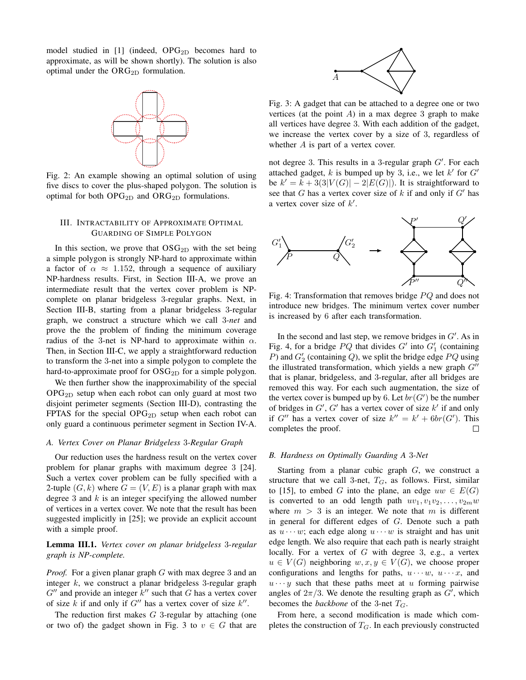model studied in [1] (indeed,  $OPG_{2D}$  becomes hard to approximate, as will be shown shortly). The solution is also optimal under the  $\text{ORG}_{2D}$  formulation.



Fig. 2: An example showing an optimal solution of using five discs to cover the plus-shaped polygon. The solution is optimal for both  $OPG_{2D}$  and  $ORG_{2D}$  formulations.

## III. INTRACTABILITY OF APPROXIMATE OPTIMAL GUARDING OF SIMPLE POLYGON

In this section, we prove that  $OSG_{2D}$  with the set being a simple polygon is strongly NP-hard to approximate within a factor of  $\alpha \approx 1.152$ , through a sequence of auxiliary NP-hardness results. First, in Section III-A, we prove an intermediate result that the vertex cover problem is NPcomplete on planar bridgeless 3-regular graphs. Next, in Section III-B, starting from a planar bridgeless 3-regular graph, we construct a structure which we call 3*-net* and prove the the problem of finding the minimum coverage radius of the 3-net is NP-hard to approximate within  $\alpha$ . Then, in Section III-C, we apply a straightforward reduction to transform the 3-net into a simple polygon to complete the hard-to-approximate proof for  $OSG_{2D}$  for a simple polygon.

We then further show the inapproximability of the special  $OPG<sub>2D</sub>$  setup when each robot can only guard at most two disjoint perimeter segments (Section III-D), contrasting the FPTAS for the special  $OPG_{2D}$  setup when each robot can only guard a continuous perimeter segment in Section IV-A.

## *A. Vertex Cover on Planar Bridgeless* 3*-Regular Graph*

Our reduction uses the hardness result on the vertex cover problem for planar graphs with maximum degree 3 [24]. Such a vertex cover problem can be fully specified with a 2-tuple  $(G, k)$  where  $G = (V, E)$  is a planar graph with max degree 3 and  $k$  is an integer specifying the allowed number of vertices in a vertex cover. We note that the result has been suggested implicitly in [25]; we provide an explicit account with a simple proof.

# Lemma III.1. *Vertex cover on planar bridgeless* 3*-regular graph is NP-complete.*

*Proof.* For a given planar graph G with max degree 3 and an integer  $k$ , we construct a planar bridgeless 3-regular graph  $G''$  and provide an integer  $k''$  such that G has a vertex cover of size k if and only if  $G''$  has a vertex cover of size  $k''$ .

The reduction first makes  $G$  3-regular by attaching (one or two of) the gadget shown in Fig. 3 to  $v \in G$  that are



Fig. 3: A gadget that can be attached to a degree one or two vertices (at the point  $A$ ) in a max degree 3 graph to make all vertices have degree 3. With each addition of the gadget, we increase the vertex cover by a size of 3, regardless of whether A is part of a vertex cover.

not degree 3. This results in a 3-regular graph  $G'$ . For each attached gadget, k is bumped up by 3, i.e., we let  $k'$  for  $G'$ be  $k' = k + 3(3|V(G)| - 2|E(G)|)$ . It is straightforward to see that G has a vertex cover size of k if and only if  $G'$  has a vertex cover size of  $k'$ .



Fig. 4: Transformation that removes bridge  $PQ$  and does not introduce new bridges. The minimum vertex cover number is increased by 6 after each transformation.

In the second and last step, we remove bridges in  $G'$ . As in Fig. 4, for a bridge  $PQ$  that divides  $G'$  into  $G'_{1}$  (containing P) and  $G_2'$  (containing Q), we split the bridge edge PQ using the illustrated transformation, which yields a new graph  $G''$ that is planar, bridgeless, and 3-regular, after all bridges are removed this way. For each such augmentation, the size of the vertex cover is bumped up by 6. Let  $br(G')$  be the number of bridges in  $G'$ ,  $G'$  has a vertex cover of size  $k'$  if and only if G'' has a vertex cover of size  $k'' = k' + 6br(G')$ . This completes the proof.  $\Box$ 

#### *B. Hardness on Optimally Guarding A* 3*-Net*

Starting from a planar cubic graph G, we construct a structure that we call 3-net,  $T_G$ , as follows. First, similar to [15], to embed G into the plane, an edge  $uw \in E(G)$ is converted to an odd length path  $uv_1, v_1v_2, \ldots, v_{2m}w$ where  $m > 3$  is an integer. We note that m is different in general for different edges of G. Denote such a path as  $u \cdots w$ ; each edge along  $u \cdots w$  is straight and has unit edge length. We also require that each path is nearly straight locally. For a vertex of  $G$  with degree 3, e.g., a vertex  $u \in V(G)$  neighboring  $w, x, y \in V(G)$ , we choose proper configurations and lengths for paths,  $u \cdots w$ ,  $u \cdots x$ , and  $u \cdots y$  such that these paths meet at u forming pairwise angles of  $2\pi/3$ . We denote the resulting graph as  $G'$ , which becomes the *backbone* of the 3-net  $T_G$ .

From here, a second modification is made which completes the construction of  $T_G$ . In each previously constructed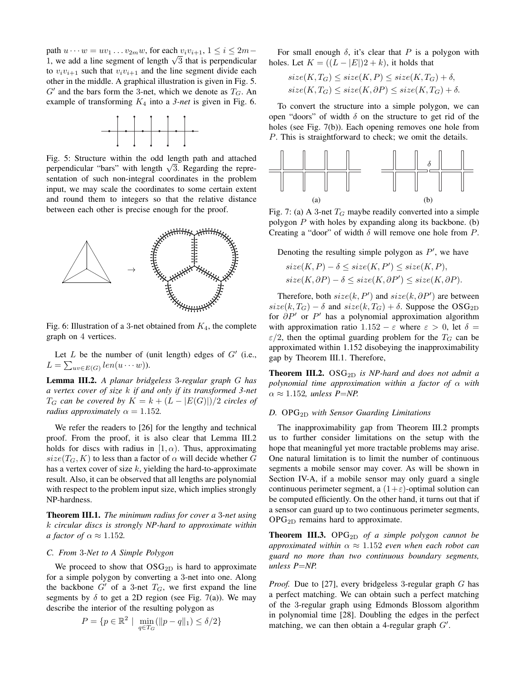path  $u \cdots w = uv_1 \ldots v_{2m}w$ , for each  $v_i v_{i+1}$ ,  $1 \le i \le 2m$ pain  $u \cdots w = uv_1 \cdots v_{2m}w$ , for each  $v_i v_{i+1}, 1 \le i \le 2m-1$ , we add a line segment of length  $\sqrt{3}$  that is perpendicular to  $v_i v_{i+1}$  such that  $v_i v_{i+1}$  and the line segment divide each other in the middle. A graphical illustration is given in Fig. 5.  $G'$  and the bars form the 3-net, which we denote as  $T_G$ . An example of transforming  $K_4$  into a 3-net is given in Fig. 6.



Fig. 5: Structure within the odd length path and attached Fig. 5: Structure within the odd length path and attached<br>perpendicular "bars" with length  $\sqrt{3}$ . Regarding the representation of such non-integral coordinates in the problem input, we may scale the coordinates to some certain extent and round them to integers so that the relative distance between each other is precise enough for the proof.



Fig. 6: Illustration of a 3-net obtained from  $K_4$ , the complete graph on 4 vertices.

Let  $L$  be the number of (unit length) edges of  $G'$  (i.e.,  $L = \sum_{uv \in E(G)} len(u \cdots w)).$ 

Lemma III.2. *A planar bridgeless* 3*-regular graph* G *has a vertex cover of size* k *if and only if its transformed 3-net*  $T_G$  *can be covered by*  $K = k + (L - |E(G)|)/2$  *circles of radius approximately*  $\alpha = 1.152$ *.* 

We refer the readers to [26] for the lengthy and technical proof. From the proof, it is also clear that Lemma III.2 holds for discs with radius in  $[1, \alpha)$ . Thus, approximating  $size(T_G, K)$  to less than a factor of  $\alpha$  will decide whether G has a vertex cover of size  $k$ , yielding the hard-to-approximate result. Also, it can be observed that all lengths are polynomial with respect to the problem input size, which implies strongly NP-hardness.

Theorem III.1. *The minimum radius for cover a* 3*-net using* k *circular discs is strongly NP-hard to approximate within a factor of*  $\alpha \approx 1.152$ .

# *C. From* 3*-Net to A Simple Polygon*

We proceed to show that  $OSG_{2D}$  is hard to approximate for a simple polygon by converting a 3-net into one. Along the backbone  $G'$  of a 3-net  $T_G$ , we first expand the line segments by  $\delta$  to get a 2D region (see Fig. 7(a)). We may describe the interior of the resulting polygon as

$$
P = \{ p \in \mathbb{R}^2 \mid \min_{q \in T_G} (\|p - q\|_1) \le \delta/2 \}
$$

For small enough  $\delta$ , it's clear that P is a polygon with holes. Let  $K = ((L - |E|)2 + k)$ , it holds that

$$
size(K, T_G) \leq size(K, P) \leq size(K, T_G) + \delta,
$$
  

$$
size(K, T_G) \leq size(K, \partial P) \leq size(K, T_G) + \delta.
$$

To convert the structure into a simple polygon, we can open "doors" of width  $\delta$  on the structure to get rid of the holes (see Fig. 7(b)). Each opening removes one hole from P. This is straightforward to check; we omit the details.



Fig. 7: (a) A 3-net  $T_G$  maybe readily converted into a simple polygon  $P$  with holes by expanding along its backbone. (b) Creating a "door" of width  $\delta$  will remove one hole from P.

Denoting the resulting simple polygon as  $P'$ , we have

$$
size(K, P) - \delta \leq size(K, P') \leq size(K, P),
$$
  

$$
size(K, \partial P) - \delta \leq size(K, \partial P') \leq size(K, \partial P).
$$

Therefore, both  $size(k, P')$  and  $size(k, \partial P')$  are between  $size(k, T_G) - \delta$  and  $size(k, T_G) + \delta$ . Suppose the OSG<sub>2D</sub> for  $\partial P'$  or  $P'$  has a polynomial approximation algorithm with approximation ratio  $1.152 - \varepsilon$  where  $\varepsilon > 0$ , let  $\delta =$  $\varepsilon/2$ , then the optimal guarding problem for the  $T_G$  can be approximated within 1.152 disobeying the inapproximability gap by Theorem III.1. Therefore,

Theorem III.2. OSG<sub>2D</sub> is NP-hard and does not admit a *polynomial time approximation within a factor of* α *with*  $\alpha \approx 1.152$ , *unless P=NP.* 

## *D.* OPG2D *with Sensor Guarding Limitations*

The inapproximability gap from Theorem III.2 prompts us to further consider limitations on the setup with the hope that meaningful yet more tractable problems may arise. One natural limitation is to limit the number of continuous segments a mobile sensor may cover. As will be shown in Section IV-A, if a mobile sensor may only guard a single continuous perimeter segment, a  $(1+\varepsilon)$ -optimal solution can be computed efficiently. On the other hand, it turns out that if a sensor can guard up to two continuous perimeter segments, OPG2D remains hard to approximate.

Theorem III.3. OPG<sub>2D</sub> of a simple polygon cannot be *approximated within*  $\alpha \approx 1.152$  *even when each robot can guard no more than two continuous boundary segments, unless P*=*NP.*

*Proof.* Due to [27], every bridgeless 3-regular graph G has a perfect matching. We can obtain such a perfect matching of the 3-regular graph using Edmonds Blossom algorithm in polynomial time [28]. Doubling the edges in the perfect matching, we can then obtain a 4-regular graph  $G'$ .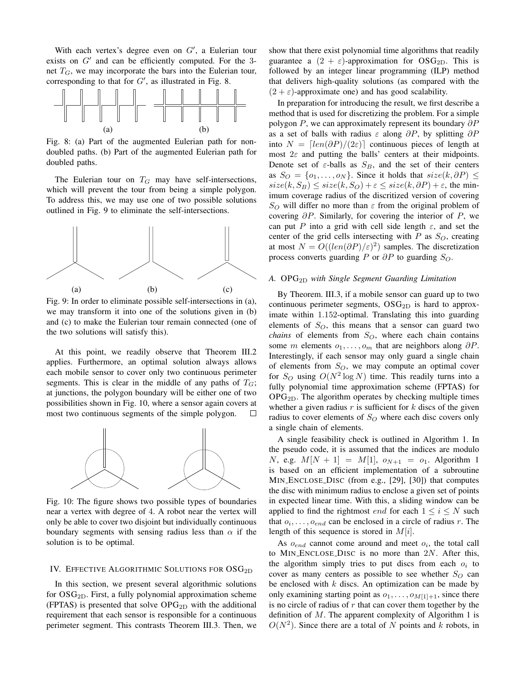With each vertex's degree even on  $G'$ , a Eulerian tour exists on  $G'$  and can be efficiently computed. For the 3net  $T_G$ , we may incorporate the bars into the Eulerian tour, corresponding to that for  $G'$ , as illustrated in Fig. 8.



Fig. 8: (a) Part of the augmented Eulerian path for nondoubled paths. (b) Part of the augmented Eulerian path for doubled paths.

The Eulerian tour on  $T_G$  may have self-intersections, which will prevent the tour from being a simple polygon. To address this, we may use one of two possible solutions outlined in Fig. 9 to eliminate the self-intersections.



Fig. 9: In order to eliminate possible self-intersections in (a), we may transform it into one of the solutions given in (b) and (c) to make the Eulerian tour remain connected (one of the two solutions will satisfy this).

At this point, we readily observe that Theorem III.2 applies. Furthermore, an optimal solution always allows each mobile sensor to cover only two continuous perimeter segments. This is clear in the middle of any paths of  $T_G$ ; at junctions, the polygon boundary will be either one of two possibilities shown in Fig. 10, where a sensor again covers at most two continuous segments of the simple polygon.  $\Box$ 



Fig. 10: The figure shows two possible types of boundaries near a vertex with degree of 4. A robot near the vertex will only be able to cover two disjoint but individually continuous boundary segments with sensing radius less than  $\alpha$  if the solution is to be optimal.

### IV. EFFECTIVE ALGORITHMIC SOLUTIONS FOR OSG<sub>2D</sub>

In this section, we present several algorithmic solutions for  $OSG<sub>2D</sub>$ . First, a fully polynomial approximation scheme (FPTAS) is presented that solve  $OPG_{2D}$  with the additional requirement that each sensor is responsible for a continuous perimeter segment. This contrasts Theorem III.3. Then, we

show that there exist polynomial time algorithms that readily guarantee a  $(2 + \varepsilon)$ -approximation for OSG<sub>2D</sub>. This is followed by an integer linear programming (ILP) method that delivers high-quality solutions (as compared with the  $(2 + \varepsilon)$ -approximate one) and has good scalability.

In preparation for introducing the result, we first describe a method that is used for discretizing the problem. For a simple polygon P, we can approximately represent its boundary  $\partial P$ as a set of balls with radius  $\varepsilon$  along  $\partial P$ , by splitting  $\partial P$ into  $N = \lfloor \frac{len(\partial P)}{2\epsilon} \rfloor$  continuous pieces of length at most  $2\varepsilon$  and putting the balls' centers at their midpoints. Denote set of  $\varepsilon$ -balls as  $S_B$ , and the set of their centers as  $S_O = \{o_1, \ldots, o_N\}$ . Since it holds that  $size(k, \partial P) \leq$  $size(k, S_B) \leq size(k, S_O) + \varepsilon \leq size(k, \partial P) + \varepsilon$ , the minimum coverage radius of the discritized version of covering  $S<sub>O</sub>$  will differ no more than  $\varepsilon$  from the original problem of covering  $\partial P$ . Similarly, for covering the interior of P, we can put P into a grid with cell side length  $\varepsilon$ , and set the center of the grid cells intersecting with  $P$  as  $S_O$ , creating at most  $N = O((len(\partial P)/\varepsilon)^2)$  samples. The discretization process converts guarding P or  $\partial P$  to guarding  $S_O$ .

## *A.* OPG2D *with Single Segment Guarding Limitation*

By Theorem. III.3, if a mobile sensor can guard up to two continuous perimeter segments,  $OSG_{2D}$  is hard to approximate within 1.152-optimal. Translating this into guarding elements of  $S_O$ , this means that a sensor can guard two *chains* of elements from  $S_O$ , where each chain contains some m elements  $o_1, \ldots, o_m$  that are neighbors along  $\partial P$ . Interestingly, if each sensor may only guard a single chain of elements from  $S_O$ , we may compute an optimal cover for  $S_O$  using  $O(N^2 \log N)$  time. This readily turns into a fully polynomial time approximation scheme (FPTAS) for OPG2D. The algorithm operates by checking multiple times whether a given radius  $r$  is sufficient for  $k$  discs of the given radius to cover elements of  $S_O$  where each disc covers only a single chain of elements.

A single feasibility check is outlined in Algorithm 1. In the pseudo code, it is assumed that the indices are modulo N, e.g.  $M[N + 1] = M[1]$ ,  $o_{N+1} = o_1$ . Algorithm 1 is based on an efficient implementation of a subroutine MIN ENCLOSE DISC (from e.g., [29], [30]) that computes the disc with minimum radius to enclose a given set of points in expected linear time. With this, a sliding window can be applied to find the rightmost *end* for each  $1 \le i \le N$  such that  $o_i, \ldots, o_{end}$  can be enclosed in a circle of radius r. The length of this sequence is stored in  $M[i]$ .

As  $o_{end}$  cannot come around and meet  $o_i$ , the total call to MIN\_ENCLOSE\_DISC is no more than  $2N$ . After this, the algorithm simply tries to put discs from each  $o_i$  to cover as many centers as possible to see whether  $S_O$  can be enclosed with  $k$  discs. An optimization can be made by only examining starting point as  $o_1, \ldots, o_{M[1]+1}$ , since there is no circle of radius of  $r$  that can cover them together by the definition of  $M$ . The apparent complexity of Algorithm 1 is  $O(N^2)$ . Since there are a total of N points and k robots, in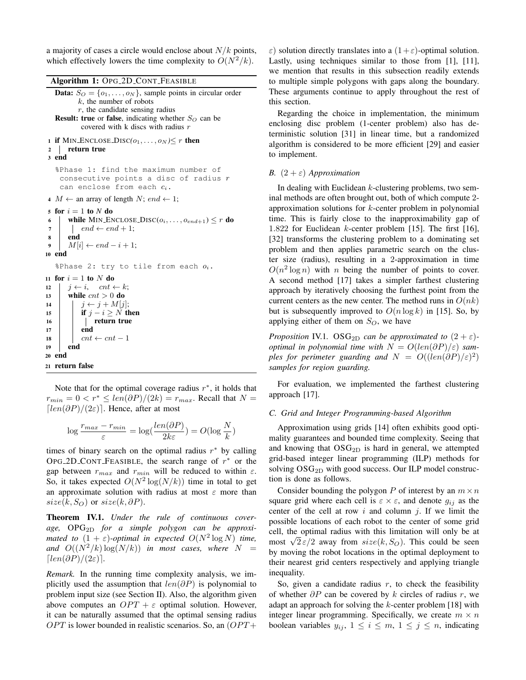a majority of cases a circle would enclose about  $N/k$  points, which effectively lowers the time complexity to  $O(N^2/k)$ .

Algorithm 1: OPG 2D CONT FEASIBLE

```
Data: S_O = \{o_1, \ldots, o_N\}, sample points in circular order
         k, the number of robots
         r, the candidate sensing radius
  Result: true or false, indicating whether S_O can be
          covered with k discs with radius r
1 if MIN_ENCLOSE_DISC(o_1, \ldots, o_N) \le r then
2 return true
3 end
  %Phase 1: find the maximum number of
    consecutive points a disc of radius rcan enclose from each c_i.
4 M \leftarrow an array of length N; end \leftarrow 1;
5 for i = 1 to N do
6 while MIN_ENCLOSE_DISC(o_i, \ldots, o_{end+1}) \leq r do
7 | end \leftarrow end + 1;
8 end
9 M[i] \leftarrow end - i + 1;10 end
  %Phase 2: try to tile from each o_i.
11 for i = 1 to N do
12 j \leftarrow i, cnt \leftarrow k;
13 while cnt > 0 do
14 j \leftarrow j + M[j];15 if j - i \geq N then
16 | | | | | return true
17 end
18 cnt ← cnt – 1
19 end
20 end
21 return false
```
Note that for the optimal coverage radius  $r^*$ , it holds that  $r_{min} = 0 < r^* \leq \frac{len(\partial P)}{2k} = r_{max}$ . Recall that  $N =$  $\lceil len(\partial P)/(2\varepsilon) \rceil$ . Hence, after at most

$$
\log \frac{r_{max} - r_{min}}{\varepsilon} = \log(\frac{len(\partial P)}{2k\varepsilon}) = O(\log \frac{N}{k})
$$

times of binary search on the optimal radius  $r^*$  by calling OPG\_2D\_CONT\_FEASIBLE, the search range of  $r^*$  or the gap between  $r_{max}$  and  $r_{min}$  will be reduced to within  $\varepsilon$ . So, it takes expected  $O(N^2 \log(N/k))$  time in total to get an approximate solution with radius at most  $\varepsilon$  more than  $size(k, S<sub>O</sub>)$  or  $size(k, \partial P)$ .

Theorem IV.1. *Under the rule of continuous cover*age, OPG<sub>2D</sub> for a simple polygon can be approxi*mated to*  $(1 + \varepsilon)$ -optimal in expected  $O(N^2 \log N)$  time, and  $O((N^2/k) \log(N/k))$  *in most cases, where*  $N =$  $\lceil len(\partial P)/(2\varepsilon) \rceil$ .

*Remark.* In the running time complexity analysis, we implicitly used the assumption that  $len(\partial P)$  is polynomial to problem input size (see Section II). Also, the algorithm given above computes an  $OPT + \varepsilon$  optimal solution. However, it can be naturally assumed that the optimal sensing radius  $OPT$  is lower bounded in realistic scenarios. So, an  $(OPT +$ 

ε) solution directly translates into a  $(1+\varepsilon)$ -optimal solution. Lastly, using techniques similar to those from [1], [11], we mention that results in this subsection readily extends to multiple simple polygons with gaps along the boundary. These arguments continue to apply throughout the rest of this section.

Regarding the choice in implementation, the minimum enclosing disc problem (1-center problem) also has deterministic solution [31] in linear time, but a randomized algorithm is considered to be more efficient [29] and easier to implement.

### *B.*  $(2 + \varepsilon)$  *Approximation*

In dealing with Euclidean  $k$ -clustering problems, two seminal methods are often brought out, both of which compute 2 approximation solutions for k-center problem in polynomial time. This is fairly close to the inapproximability gap of 1.822 for Euclidean k-center problem [15]. The first [16], [32] transforms the clustering problem to a dominating set problem and then applies parametric search on the cluster size (radius), resulting in a 2-approximation in time  $O(n^2 \log n)$  with *n* being the number of points to cover. A second method [17] takes a simpler farthest clustering approach by iteratively choosing the furthest point from the current centers as the new center. The method runs in  $O(nk)$ but is subsequently improved to  $O(n \log k)$  in [15]. So, by applying either of them on  $S_O$ , we have

*Proposition* IV.1. OSG<sub>2D</sub> *can be approximated to*  $(2 + \varepsilon)$ *optimal in polynomial time with*  $N = O(\text{len}(\partial P)/\varepsilon)$  *samples for perimeter guarding and*  $N = O((len(\partial P)/\varepsilon)^2)$ *samples for region guarding.*

For evaluation, we implemented the farthest clustering approach [17].

## *C. Grid and Integer Programming-based Algorithm*

Approximation using grids [14] often exhibits good optimality guarantees and bounded time complexity. Seeing that and knowing that  $OSG_{2D}$  is hard in general, we attempted grid-based integer linear programming (ILP) methods for solving  $\text{OSG}_{2D}$  with good success. Our ILP model construction is done as follows.

Consider bounding the polygon P of interest by an  $m \times n$ square grid where each cell is  $\varepsilon \times \varepsilon$ , and denote  $g_{ij}$  as the center of the cell at row  $i$  and column  $j$ . If we limit the possible locations of each robot to the center of some grid cell, the optimal radius with this limitation will only be at cell, the optimal radius with this limitation will only be at most  $\sqrt{2} \varepsilon/2$  away from  $size(k, S_Q)$ . This could be seen by moving the robot locations in the optimal deployment to their nearest grid centers respectively and applying triangle inequality.

So, given a candidate radius  $r$ , to check the feasibility of whether  $\partial P$  can be covered by k circles of radius r, we adapt an approach for solving the k-center problem [18] with integer linear programming. Specifically, we create  $m \times n$ boolean variables  $y_{ij}$ ,  $1 \leq i \leq m$ ,  $1 \leq j \leq n$ , indicating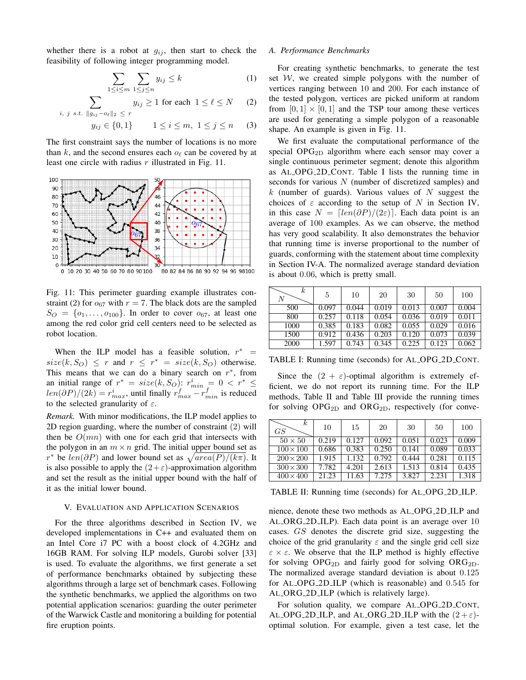whether there is a robot at  $g_{ij}$ , then start to check the feasibility of following integer programming model.

$$
\sum_{1 \le i \le m} \sum_{1 \le j \le n} y_{ij} \le k \tag{1}
$$

$$
\sum_{s.t. \ \|g_{ij} - o_{\ell}\|_2 \ \leq \ r} y_{ij} \geq 1 \text{ for each } 1 \leq \ell \leq N \qquad (2)
$$

$$
y_{ij} \in \{0, 1\} \qquad 1 \le i \le m, \ 1 \le j \le n \qquad (3)
$$

The first constraint says the number of locations is no more than k, and the second ensures each  $\rho_\ell$  can be covered by at least one circle with radius  $r$  illustrated in Fig. 11.

 $i, j$ 



Fig. 11: This perimeter guarding example illustrates constraint (2) for  $o_{67}$  with  $r = 7$ . The black dots are the sampled  $S_O = \{o_1, \ldots, o_{100}\}\.$  In order to cover  $o_{67}$ , at least one among the red color grid cell centers need to be selected as robot location.

When the ILP model has a feasible solution,  $r^*$  =  $size(k, S_O) \leq r$  and  $r \leq r^* = size(k, S_O)$  otherwise. This means that we can do a binary search on  $r^*$ , from an initial range of  $r^* = size(k, S_O)$ :  $r_{min}^i = 0 < r^* \leq$  $len(\partial P)/(2k) = r_{max}^i$ , until finally  $r_{max}^f - r_{min}^f$  is reduced to the selected granularity of  $\varepsilon$ .

*Remark.* With minor modifications, the ILP model applies to 2D region guarding, where the number of constraint (2) will then be  $O(mn)$  with one for each grid that intersects with the polygon in an  $m \times n$  grid. The initial upper bound set as r<sup>\*</sup> be  $len(\partial P)$  and lower bound set as  $\sqrt{area(P)/(k\pi)}$ . It is also possible to apply the  $(2+\varepsilon)$ -approximation algorithm and set the result as the initial upper bound with the half of it as the initial lower bound.

#### V. EVALUATION AND APPLICATION SCENARIOS

For the three algorithms described in Section IV, we developed implementations in C++ and evaluated them on an Intel Core i7 PC with a boost clock of 4.2GHz and 16GB RAM. For solving ILP models, Gurobi solver [33] is used. To evaluate the algorithms, we first generate a set of performance benchmarks obtained by subjecting these algorithms through a large set of benchmark cases. Following the synthetic benchmarks, we applied the algorithms on two potential application scenarios: guarding the outer perimeter of the Warwick Castle and monitoring a building for potential fire eruption points.

## *A. Performance Benchmarks*

For creating synthetic benchmarks, to generate the test set  $W$ , we created simple polygons with the number of vertices ranging between 10 and 200. For each instance of the tested polygon, vertices are picked uniform at random from  $[0, 1] \times [0, 1]$  and the TSP tour among these vertices are used for generating a simple polygon of a reasonable shape. An example is given in Fig. 11.

We first evaluate the computational performance of the special  $OPG_{2D}$  algorithm where each sensor may cover a single continuous perimeter segment; denote this algorithm as AL OPG 2D CONT. Table I lists the running time in seconds for various N (number of discretized samples) and k (number of guards). Various values of  $N$  suggest the choices of  $\varepsilon$  according to the setup of N in Section IV, in this case  $N = \frac{[len(\partial P)/(2\varepsilon)]}{[len(\partial P)/(2\varepsilon)]}$ . Each data point is an average of 100 examples. As we can observe, the method has very good scalability. It also demonstrates the behavior that running time is inverse proportional to the number of guards, conforming with the statement about time complexity in Section IV-A. The normalized average standard deviation is about 0.06, which is pretty small.

| k<br>N | 5     | 10    | 20    | 30    | 50    | 100   |
|--------|-------|-------|-------|-------|-------|-------|
| 500    | 0.097 | 0.044 | 0.019 | 0.013 | 0.007 | 0.004 |
| 800    | 0.257 | 0.118 | 0.054 | 0.036 | 0.019 | 0.011 |
| 1000   | 0.385 | 0.183 | 0.082 | 0.055 | 0.029 | 0.016 |
| 1500   | 0.912 | 0.436 | 0.203 | 0.120 | 0.073 | 0.039 |
| 2000   | 1.597 | 0.743 | 0.345 | 0.225 | 0.123 | 0.062 |

TABLE I: Running time (seconds) for AL OPG 2D CONT.

Since the  $(2 + \varepsilon)$ -optimal algorithm is extremely efficient, we do not report its running time. For the ILP methods, Table II and Table III provide the running times for solving  $OPG_{2D}$  and  $ORG_{2D}$ , respectively (for conve-

| $_{k}$<br>GS     | 10    | 15    | 20    | 30    | 50    | 100   |
|------------------|-------|-------|-------|-------|-------|-------|
| $50 \times 50$   | 0.219 | 0.127 | 0.092 | 0.051 | 0.023 | 0.009 |
| $100 \times 100$ | 0.686 | 0.383 | 0.250 | 0.141 | 0.089 | 0.033 |
| $200 \times 200$ | 1.915 | 1.132 | 0.792 | 0.444 | 0.281 | 0.115 |
| $300 \times 300$ | 7.782 | 4.201 | 2.613 | 1.513 | 0.814 | 0.435 |
| $400 \times 400$ | 21.23 | 11.63 | 7.275 | 3.827 | 2.231 | 1.318 |

TABLE II: Running time (seconds) for AL OPG 2D ILP.

nience, denote these two methods as AL OPG 2D ILP and AL ORG 2D ILP). Each data point is an average over 10 cases. GS denotes the discrete grid size, suggesting the choice of the grid granularity  $\varepsilon$  and the single grid cell size  $\epsilon \times \epsilon$ . We observe that the ILP method is highly effective for solving  $OPG_{2D}$  and fairly good for solving  $ORG_{2D}$ . The normalized average standard deviation is about 0.125 for AL OPG 2D ILP (which is reasonable) and 0.545 for AL ORG 2D ILP (which is relatively large).

For solution quality, we compare AL OPG 2D CONT, AL OPG 2D ILP, and AL ORG 2D ILP with the  $(2 + \varepsilon)$ optimal solution. For example, given a test case, let the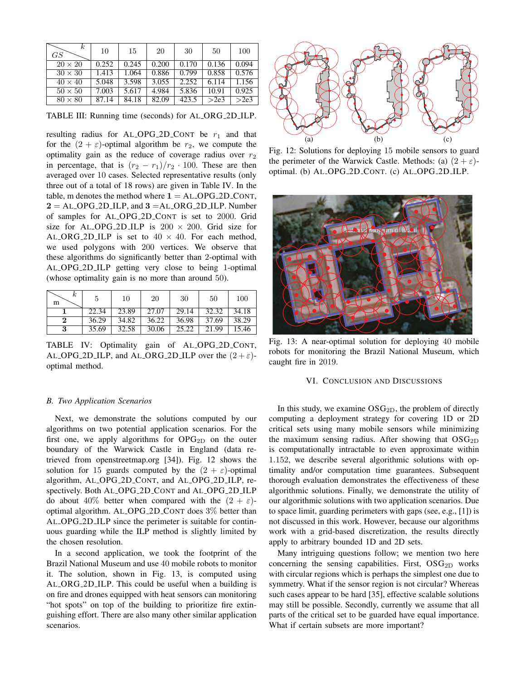| $\kappa$<br>GS | 10    | 15    | 20    | 30    | 50    | 100   |
|----------------|-------|-------|-------|-------|-------|-------|
| $20 \times 20$ | 0.252 | 0.245 | 0.200 | 0.170 | 0.136 | 0.094 |
| $30 \times 30$ | 1.413 | 1.064 | 0.886 | 0.799 | 0.858 | 0.576 |
| $40 \times 40$ | 5.048 | 3.598 | 3.055 | 2.252 | 6.114 | 1.156 |
| $50 \times 50$ | 7.003 | 5.617 | 4.984 | 5.836 | 10.91 | 0.925 |
| $80 \times 80$ | 87.14 | 84.18 | 82.09 | 423.5 | >2e3  | >2e3  |

TABLE III: Running time (seconds) for AL ORG 2D ILP.

resulting radius for AL\_OPG\_2D\_CONT be  $r_1$  and that for the  $(2 + \varepsilon)$ -optimal algorithm be  $r_2$ , we compute the optimality gain as the reduce of coverage radius over  $r_2$ in percentage, that is  $(r_2 - r_1)/r_2 \cdot 100$ . These are then averaged over 10 cases. Selected representative results (only three out of a total of 18 rows) are given in Table IV. In the table, m denotes the method where  $1 = AL\_OPG_2D\_CONT$ ,  $2 = ALOPG_2D_1LP$ , and  $3 = ALORG_2D_1LP$ . Number of samples for AL OPG 2D CONT is set to 2000. Grid size for AL\_OPG\_2D\_ILP is  $200 \times 200$ . Grid size for AL\_ORG\_2D\_ILP is set to  $40 \times 40$ . For each method, we used polygons with 200 vertices. We observe that these algorithms do significantly better than 2-optimal with AL OPG 2D ILP getting very close to being 1-optimal (whose optimality gain is no more than around 50).

| $\kappa$<br>m | 5     | 10    | 20    | 30    | 50    | 100   |
|---------------|-------|-------|-------|-------|-------|-------|
|               | 22.34 | 23.89 | 27.07 | 29.14 | 32.32 | 34.18 |
| $\bf{2}$      | 36.29 | 34.82 | 36.22 | 36.98 | 37.69 | 38.29 |
| 3             | 35.69 | 32.58 | 30.06 | 25.22 | 21.99 | 15.46 |

TABLE IV: Optimality gain of AL\_OPG\_2D\_CONT, AL OPG 2D ILP, and AL ORG 2D ILP over the  $(2 + \varepsilon)$ optimal method.

## *B. Two Application Scenarios*

Next, we demonstrate the solutions computed by our algorithms on two potential application scenarios. For the first one, we apply algorithms for  $OPG_{2D}$  on the outer boundary of the Warwick Castle in England (data retrieved from openstreetmap.org [34]). Fig. 12 shows the solution for 15 guards computed by the  $(2 + \varepsilon)$ -optimal algorithm, AL OPG 2D CONT, and AL OPG 2D ILP, respectively. Both AL OPG 2D CONT and AL OPG 2D ILP do about 40% better when compared with the  $(2 + \varepsilon)$ optimal algorithm. AL OPG 2D CONT does 3% better than AL OPG 2D ILP since the perimeter is suitable for continuous guarding while the ILP method is slightly limited by the chosen resolution.

In a second application, we took the footprint of the Brazil National Museum and use 40 mobile robots to monitor it. The solution, shown in Fig. 13, is computed using AL ORG 2D ILP. This could be useful when a building is on fire and drones equipped with heat sensors can monitoring "hot spots" on top of the building to prioritize fire extinguishing effort. There are also many other similar application scenarios.



Fig. 12: Solutions for deploying 15 mobile sensors to guard the perimeter of the Warwick Castle. Methods: (a)  $(2 + \varepsilon)$ optimal. (b) AL OPG 2D CONT. (c) AL OPG 2D ILP.



Fig. 13: A near-optimal solution for deploying 40 mobile robots for monitoring the Brazil National Museum, which caught fire in 2019.

#### VI. CONCLUSION AND DISCUSSIONS

In this study, we examine  $\text{OSG}_{2D}$ , the problem of directly computing a deployment strategy for covering 1D or 2D critical sets using many mobile sensors while minimizing the maximum sensing radius. After showing that  $OSG_{2D}$ is computationally intractable to even approximate within 1.152, we describe several algorithmic solutions with optimality and/or computation time guarantees. Subsequent thorough evaluation demonstrates the effectiveness of these algorithmic solutions. Finally, we demonstrate the utility of our algorithmic solutions with two application scenarios. Due to space limit, guarding perimeters with gaps (see, e.g., [1]) is not discussed in this work. However, because our algorithms work with a grid-based discretization, the results directly apply to arbitrary bounded 1D and 2D sets.

Many intriguing questions follow; we mention two here concerning the sensing capabilities. First,  $OSG_{2D}$  works with circular regions which is perhaps the simplest one due to symmetry. What if the sensor region is not circular? Whereas such cases appear to be hard [35], effective scalable solutions may still be possible. Secondly, currently we assume that all parts of the critical set to be guarded have equal importance. What if certain subsets are more important?